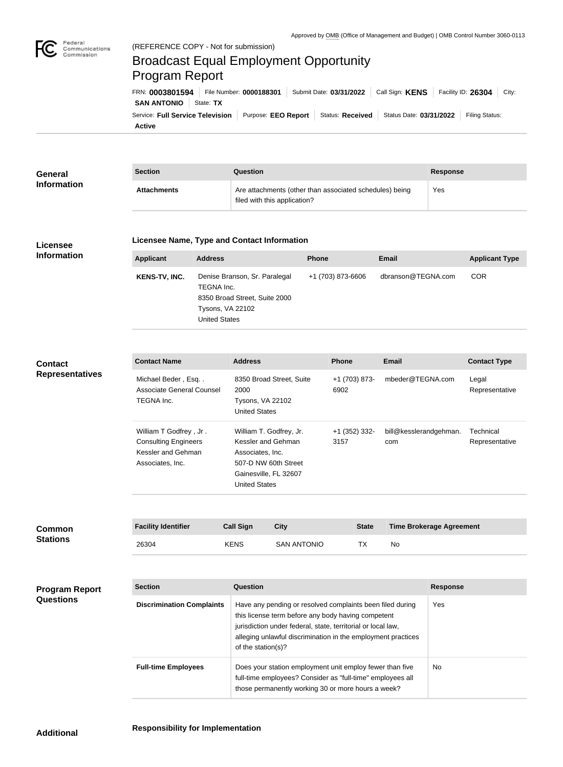

## Broadcast Equal Employment Opportunity Program Report

**Active** Service: Full Service Television | Purpose: EEO Report | Status: Received | Status Date: 03/31/2022 | Filing Status: **SAN ANTONIO** State: TX FRN: **0003801594** File Number: **0000188301** Submit Date: **03/31/2022** Call Sign: **KENS** Facility ID: **26304** City:

| General<br><b>Information</b> | <b>Section</b>     | Question                                                                                | Response |
|-------------------------------|--------------------|-----------------------------------------------------------------------------------------|----------|
|                               | <b>Attachments</b> | Are attachments (other than associated schedules) being<br>filed with this application? | Yes      |

## **Licensee Information**

## **Licensee Name, Type and Contact Information**

| <b>Applicant</b>     | <b>Address</b>                                                                                                                  | <b>Phone</b>      | Email              | <b>Applicant Type</b> |
|----------------------|---------------------------------------------------------------------------------------------------------------------------------|-------------------|--------------------|-----------------------|
| <b>KENS-TV, INC.</b> | Denise Branson, Sr. Paralegal<br>TEGNA Inc.<br>8350 Broad Street, Suite 2000<br><b>Tysons, VA 22102</b><br><b>United States</b> | +1 (703) 873-6606 | dbranson@TEGNA.com | <b>COR</b>            |

## **Contact Representatives**

| <b>Contact Name</b>         | <b>Address</b>           | <b>Phone</b>  | Email                  | <b>Contact Type</b> |
|-----------------------------|--------------------------|---------------|------------------------|---------------------|
| Michael Beder, Esq          | 8350 Broad Street, Suite | +1 (703) 873- | mbeder@TEGNA.com       | Legal               |
| Associate General Counsel   | 2000                     | 6902          |                        | Representative      |
| TEGNA Inc.                  | <b>Tysons, VA 22102</b>  |               |                        |                     |
|                             | <b>United States</b>     |               |                        |                     |
| William T Godfrey, Jr.      | William T. Godfrey, Jr.  | +1 (352) 332- | bill@kesslerandgehman. | Technical           |
| <b>Consulting Engineers</b> | Kessler and Gehman       | 3157          | com                    | Representative      |
| Kessler and Gehman          | Associates, Inc.         |               |                        |                     |
| Associates, Inc.            | 507-D NW 60th Street     |               |                        |                     |
|                             | Gainesville, FL 32607    |               |                        |                     |
|                             | <b>United States</b>     |               |                        |                     |

| <b>Common</b><br><b>Stations</b> | <b>Facility Identifier</b> | <b>Call Sign</b> | City               | <b>State</b> | <b>Time Brokerage Agreement</b> |
|----------------------------------|----------------------------|------------------|--------------------|--------------|---------------------------------|
|                                  | 26304                      | <b>KENS</b>      | <b>SAN ANTONIO</b> |              | No                              |

**Program Report Questions**

| <b>Section</b>                   | Question                                                                                                                                                                                                                                                              | <b>Response</b> |
|----------------------------------|-----------------------------------------------------------------------------------------------------------------------------------------------------------------------------------------------------------------------------------------------------------------------|-----------------|
| <b>Discrimination Complaints</b> | Have any pending or resolved complaints been filed during<br>this license term before any body having competent<br>jurisdiction under federal, state, territorial or local law,<br>alleging unlawful discrimination in the employment practices<br>of the station(s)? | Yes             |
| <b>Full-time Employees</b>       | Does your station employment unit employ fewer than five<br>full-time employees? Consider as "full-time" employees all<br>those permanently working 30 or more hours a week?                                                                                          | No.             |